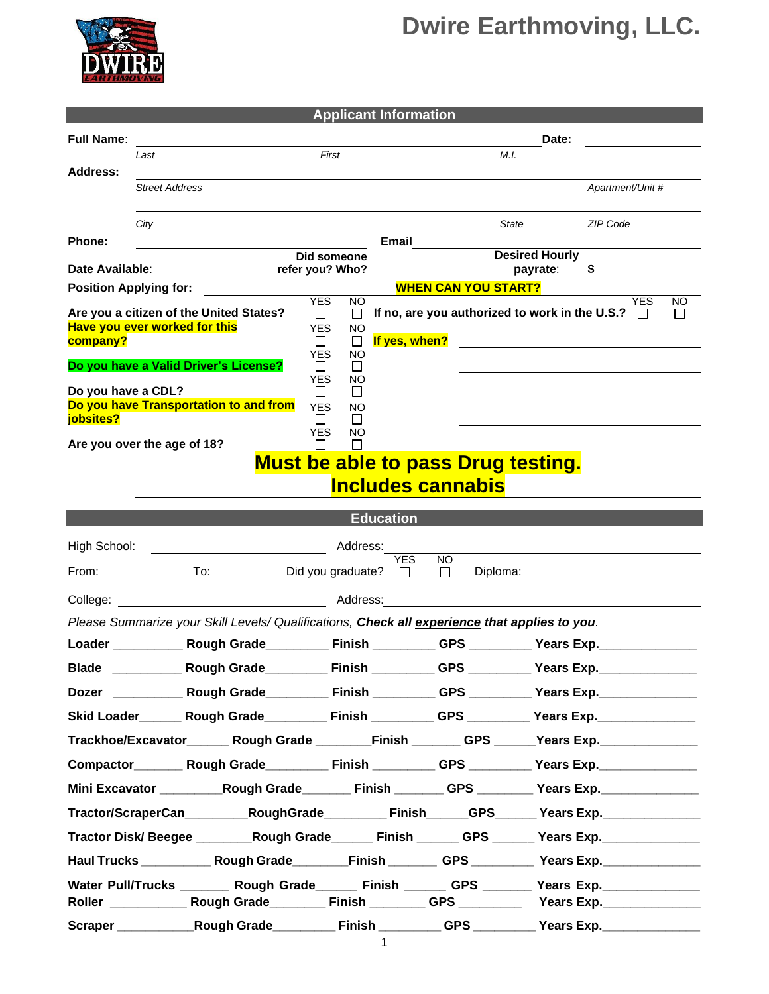## **Dwire Earthmoving, LLC.**



| <b>Applicant Information</b>                                                                        |                                         |                                                                                               |                                             |                          |                            |                                                       |                                                                                                               |  |  |  |  |
|-----------------------------------------------------------------------------------------------------|-----------------------------------------|-----------------------------------------------------------------------------------------------|---------------------------------------------|--------------------------|----------------------------|-------------------------------------------------------|---------------------------------------------------------------------------------------------------------------|--|--|--|--|
| <b>Full Name:</b>                                                                                   |                                         |                                                                                               |                                             |                          |                            | Date:                                                 |                                                                                                               |  |  |  |  |
|                                                                                                     | Last                                    |                                                                                               | First                                       |                          |                            | M.I.                                                  |                                                                                                               |  |  |  |  |
| Address:                                                                                            | <b>Street Address</b>                   |                                                                                               |                                             |                          |                            |                                                       | Apartment/Unit #                                                                                              |  |  |  |  |
|                                                                                                     |                                         |                                                                                               |                                             |                          |                            |                                                       |                                                                                                               |  |  |  |  |
|                                                                                                     | City                                    |                                                                                               |                                             |                          |                            | State                                                 | ZIP Code                                                                                                      |  |  |  |  |
| <b>Phone:</b>                                                                                       |                                         |                                                                                               |                                             | Email                    |                            |                                                       |                                                                                                               |  |  |  |  |
| Date Available:<br><u>a sa salawan ng Pangala</u>                                                   |                                         |                                                                                               | Did someone<br>refer you? Who?              |                          |                            | <b>Desired Hourly</b><br>payrate:                     | \$                                                                                                            |  |  |  |  |
| <b>Position Applying for:</b>                                                                       |                                         |                                                                                               |                                             |                          | <b>WHEN CAN YOU START?</b> |                                                       |                                                                                                               |  |  |  |  |
|                                                                                                     | Are you a citizen of the United States? |                                                                                               | <b>YES</b><br><b>NO</b><br>$\Box$<br>$\Box$ |                          |                            | If no, are you authorized to work in the U.S.? $\Box$ | <b>YES</b><br>NO.<br>$\Box$                                                                                   |  |  |  |  |
| Have you ever worked for this                                                                       |                                         |                                                                                               | <b>YES</b><br>NO                            |                          |                            |                                                       |                                                                                                               |  |  |  |  |
| company?                                                                                            |                                         |                                                                                               | Ш<br>$\Box$<br><b>YES</b><br>NO             | If yes, when?            |                            |                                                       |                                                                                                               |  |  |  |  |
|                                                                                                     | Do you have a Valid Driver's License?   |                                                                                               | $\perp$<br>$\perp$<br><b>YES</b><br>NO.     |                          |                            |                                                       |                                                                                                               |  |  |  |  |
| Do you have a CDL?                                                                                  |                                         |                                                                                               | $\Box$<br>$\Box$                            |                          |                            |                                                       |                                                                                                               |  |  |  |  |
| jobsites?                                                                                           | Do you have Transportation to and from  |                                                                                               | <b>YES</b><br>NO<br>П<br>$\perp$            |                          |                            |                                                       |                                                                                                               |  |  |  |  |
|                                                                                                     | Are you over the age of 18?             |                                                                                               | <b>YES</b><br>NO.<br>П<br>$\mathbf{I}$      |                          |                            |                                                       |                                                                                                               |  |  |  |  |
|                                                                                                     |                                         |                                                                                               |                                             |                          |                            | <b>Must be able to pass Drug testing.</b>             |                                                                                                               |  |  |  |  |
|                                                                                                     |                                         |                                                                                               |                                             | <b>Includes cannabis</b> |                            |                                                       |                                                                                                               |  |  |  |  |
|                                                                                                     |                                         |                                                                                               |                                             |                          |                            |                                                       |                                                                                                               |  |  |  |  |
| <b>Education</b>                                                                                    |                                         |                                                                                               |                                             |                          |                            |                                                       |                                                                                                               |  |  |  |  |
| High School:                                                                                        |                                         |                                                                                               |                                             |                          |                            |                                                       |                                                                                                               |  |  |  |  |
| From:                                                                                               |                                         | To: Did you graduate?                                                                         |                                             | <b>YES</b><br>$\Box$     | NO.<br>$\Box$              |                                                       | Diploma: <u>__________________________</u>                                                                    |  |  |  |  |
|                                                                                                     |                                         |                                                                                               |                                             |                          |                            | <u> 1989 - John Stein, Amerikaansk politiker (</u>    |                                                                                                               |  |  |  |  |
|                                                                                                     |                                         | Please Summarize your Skill Levels/ Qualifications, Check all experience that applies to you. |                                             |                          |                            |                                                       |                                                                                                               |  |  |  |  |
|                                                                                                     |                                         |                                                                                               |                                             |                          |                            |                                                       |                                                                                                               |  |  |  |  |
| <b>Blade</b>                                                                                        |                                         |                                                                                               |                                             |                          |                            |                                                       |                                                                                                               |  |  |  |  |
|                                                                                                     |                                         |                                                                                               |                                             |                          |                            |                                                       | Dozer _______________Rough Grade_______________Finish ____________GPS ___________ Years Exp._________________ |  |  |  |  |
|                                                                                                     |                                         |                                                                                               |                                             |                          |                            |                                                       | Skid Loader________ Rough Grade____________ Finish ___________ GPS __________ Years Exp. _________________    |  |  |  |  |
|                                                                                                     |                                         |                                                                                               |                                             |                          |                            |                                                       | Trackhoe/Excavator________Rough Grade _________Finish _________GPS ______Years Exp.________________           |  |  |  |  |
|                                                                                                     |                                         |                                                                                               |                                             |                          |                            |                                                       | Compactor__________Rough Grade_____________Finish ____________GPS ___________Years Exp._____________          |  |  |  |  |
|                                                                                                     |                                         |                                                                                               |                                             |                          |                            |                                                       | Mini Excavator ____________Rough Grade__________ Finish _________ GPS _________ Years Exp. ______________     |  |  |  |  |
|                                                                                                     |                                         |                                                                                               |                                             |                          |                            |                                                       | Tractor/ScraperCan RoughGrade Finish GPS Years Exp.                                                           |  |  |  |  |
| Tractor Disk/ Beegee _________Rough Grade_______Finish _______ GPS ______ Years Exp. ______________ |                                         |                                                                                               |                                             |                          |                            |                                                       |                                                                                                               |  |  |  |  |
|                                                                                                     |                                         |                                                                                               |                                             |                          |                            |                                                       | Haul Trucks ______________Rough Grade__________Finish __________GPS ____________Years Exp.________________    |  |  |  |  |
|                                                                                                     |                                         |                                                                                               |                                             |                          |                            |                                                       | Water Pull/Trucks ________ Rough Grade______ Finish ______ GPS ______ Years Exp. _____________                |  |  |  |  |
|                                                                                                     |                                         |                                                                                               |                                             |                          |                            |                                                       |                                                                                                               |  |  |  |  |
|                                                                                                     |                                         |                                                                                               |                                             |                          |                            |                                                       | Scraper Rough Grade Finish Grame CPS Nears Exp.                                                               |  |  |  |  |